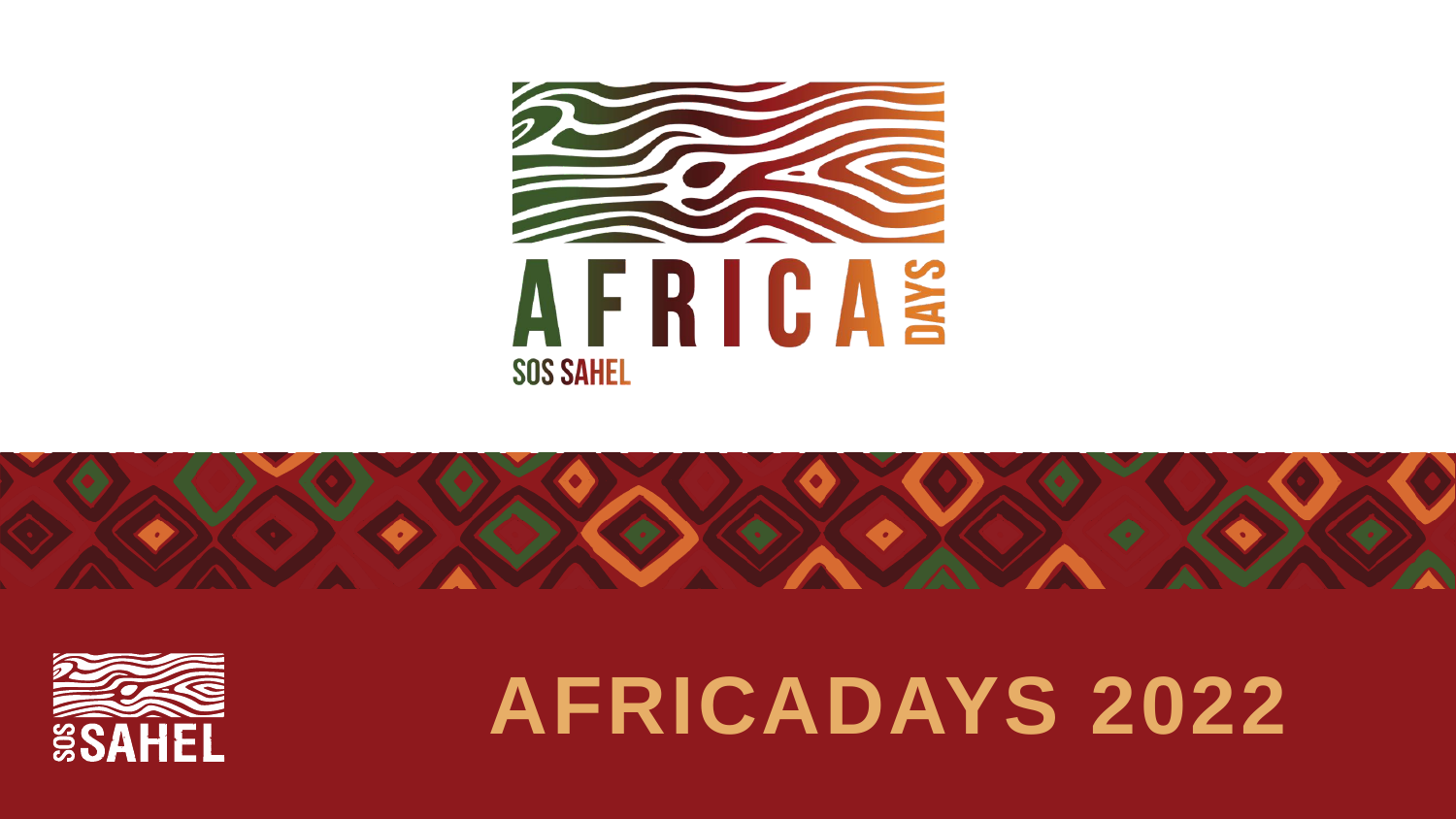





## **AFRICADAYS 2022**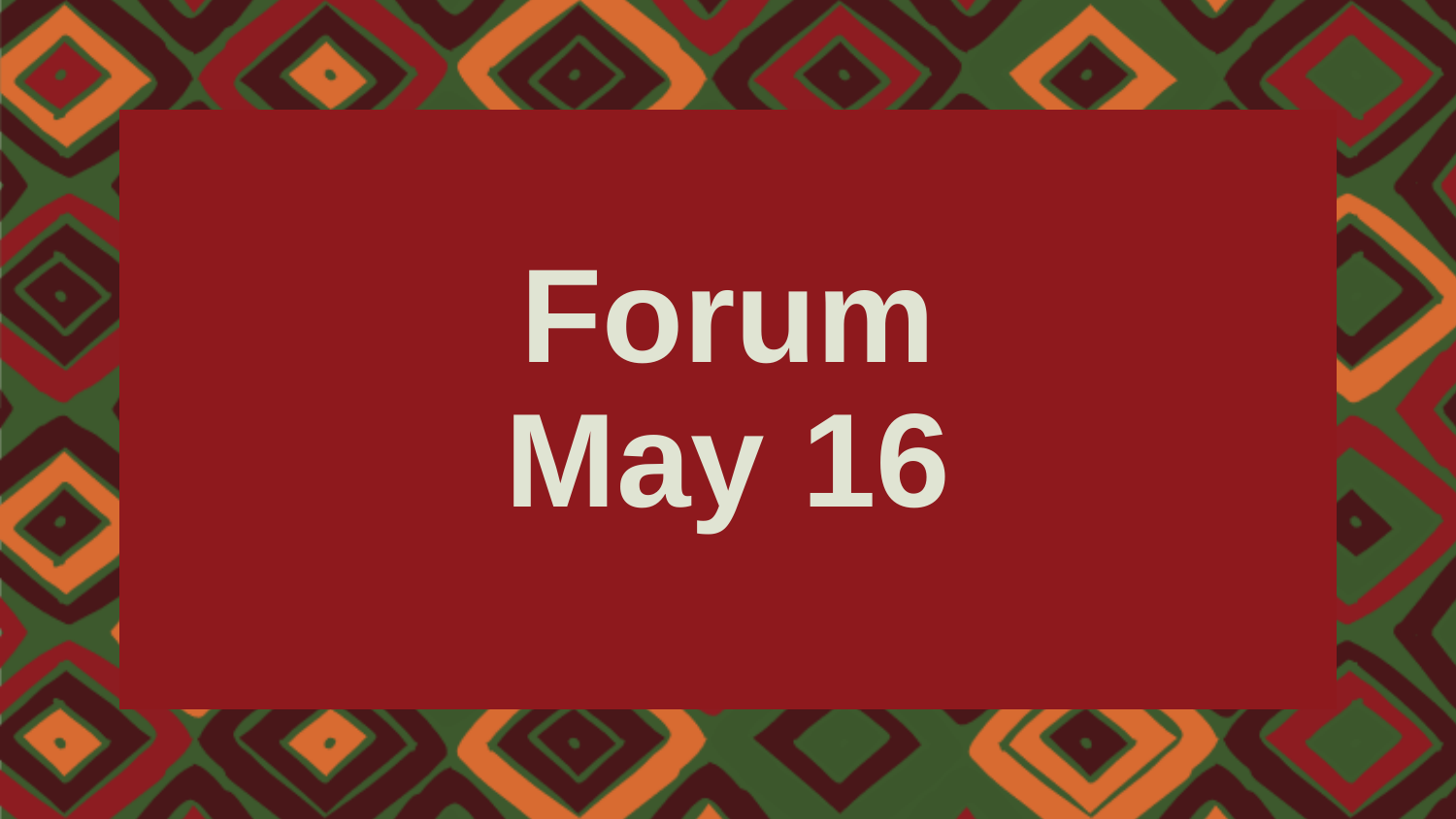# **Forum May 16**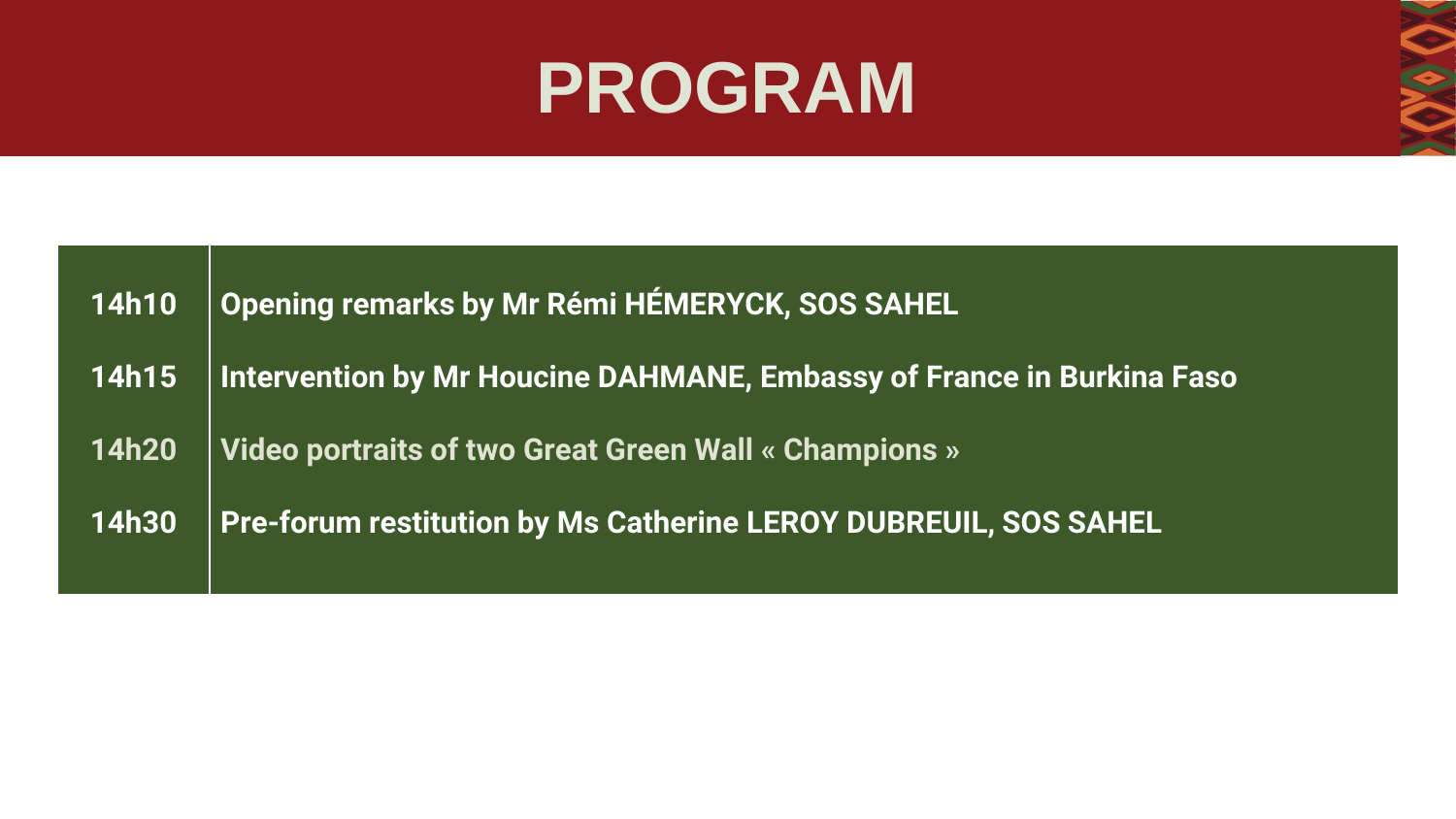#### **PROGRAM**

| <b>14h10</b>          | Opening remarks by Mr Rémi HÉMERYCK, SOS SAHEL                         |
|-----------------------|------------------------------------------------------------------------|
| $\vert$ 14h15 $\vert$ | Intervention by Mr Houcine DAHMANE, Embassy of France in Burkina Faso  |
| <b>14h20</b>          | Video portraits of two Great Green Wall « Champions »                  |
| <b>14h30</b>          | <b>Pre-forum restitution by Ms Catherine LEROY DUBREUIL, SOS SAHEL</b> |
|                       |                                                                        |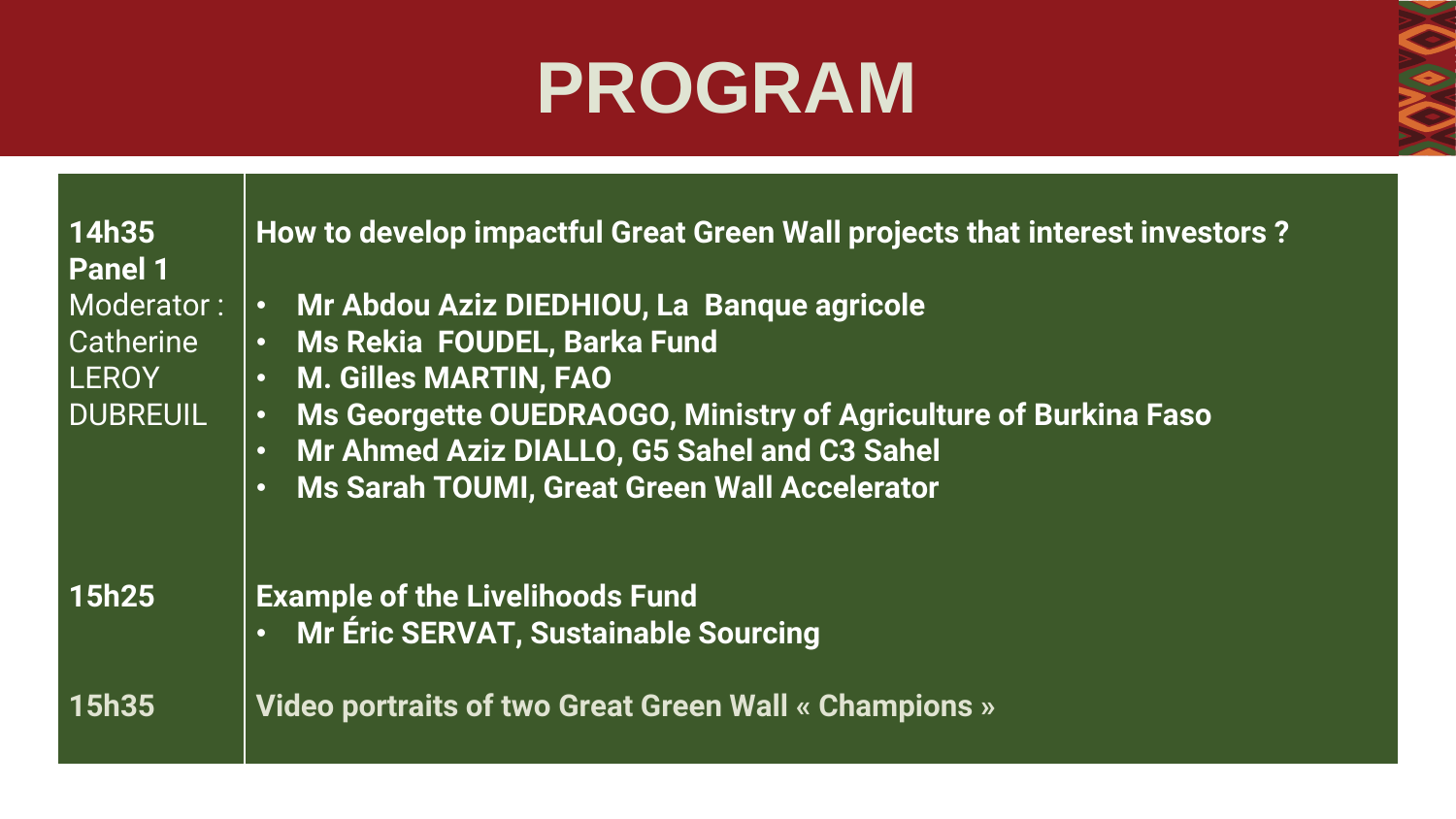### **PROGRAM**

| 14h35<br><b>Panel 1</b>                                    | How to develop impactful Great Green Wall projects that interest investors?                                                                                                                                                                                                                                   |
|------------------------------------------------------------|---------------------------------------------------------------------------------------------------------------------------------------------------------------------------------------------------------------------------------------------------------------------------------------------------------------|
| Moderator:<br>Catherine<br><b>LEROY</b><br><b>DUBREUIL</b> | · Mr Abdou Aziz DIEDHIOU, La Banque agricole<br>· Ms Rekia FOUDEL, Barka Fund<br><b>M. Gilles MARTIN, FAO</b><br>$\bullet$<br>Ms Georgette OUEDRAOGO, Ministry of Agriculture of Burkina Faso<br>$\bullet$<br>• Mr Ahmed Aziz DIALLO, G5 Sahel and C3 Sahel<br>. Ms Sarah TOUMI, Great Green Wall Accelerator |
| <b>15h25</b>                                               | <b>Example of the Livelihoods Fund</b><br>• Mr Éric SERVAT, Sustainable Sourcing                                                                                                                                                                                                                              |
| <b>15h35</b>                                               | Video portraits of two Great Green Wall « Champions »                                                                                                                                                                                                                                                         |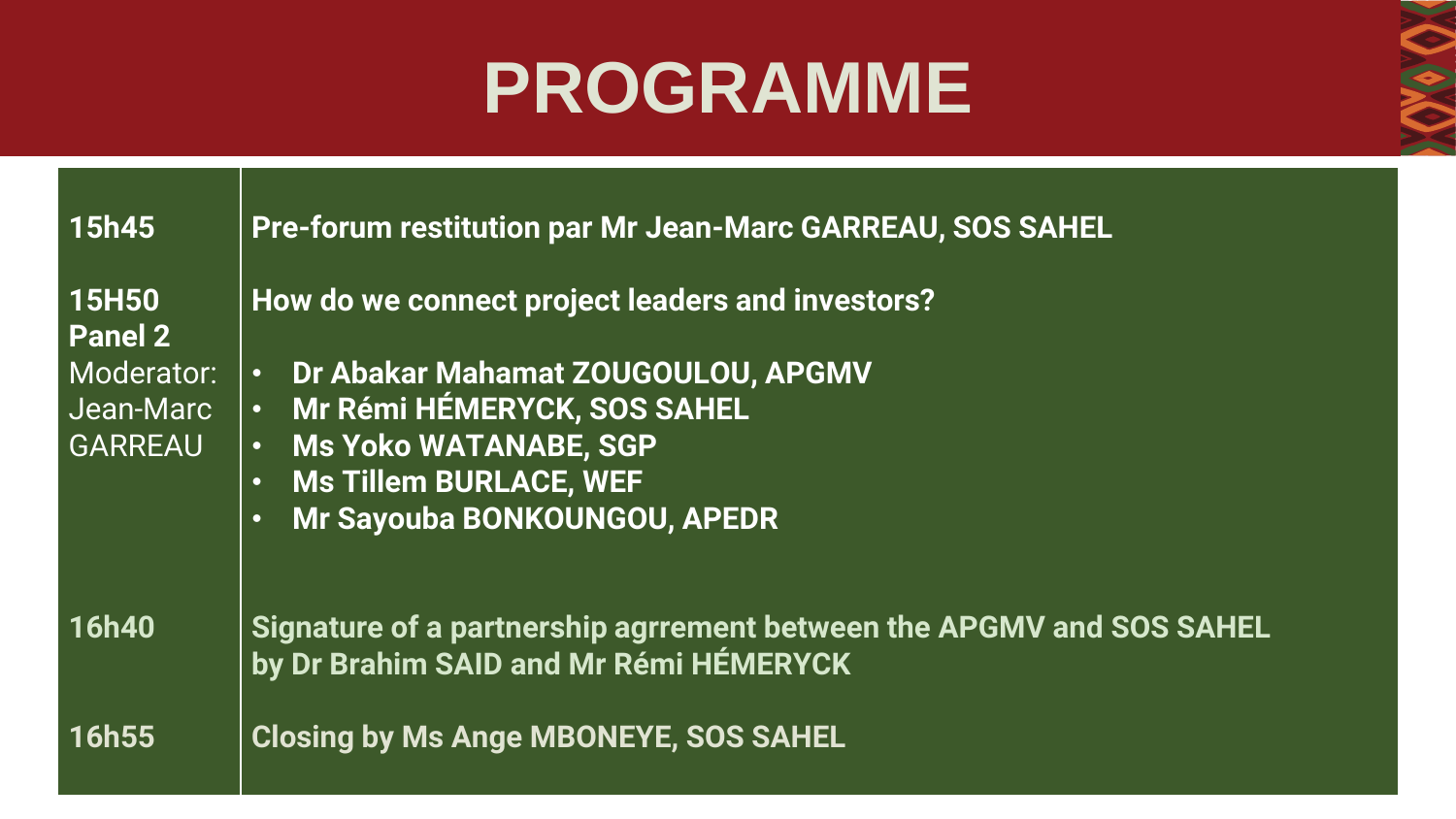### **PROGRAMME**

| <b>15h45</b>            | <b>Pre-forum restitution par Mr Jean-Marc GARREAU, SOS SAHEL</b>                                               |
|-------------------------|----------------------------------------------------------------------------------------------------------------|
| <b>15H50</b><br>Panel 2 | How do we connect project leaders and investors?                                                               |
| Moderator:              | Dr Abakar Mahamat ZOUGOULOU, APGMV<br>$\bullet$                                                                |
| Jean-Marc               | · Mr Rémi HÉMERYCK, SOS SAHEL                                                                                  |
| <b>GARREAU</b>          | <b>Ms Yoko WATANABE, SGP</b><br>$\bullet$                                                                      |
|                         | <b>Ms Tillem BURLACE, WEF</b><br>$\bullet$                                                                     |
|                         | Mr Sayouba BONKOUNGOU, APEDR<br>$\bullet$                                                                      |
| <b>16h40</b>            | Signature of a partnership agrrement between the APGMV and SOS SAHEL<br>by Dr Brahim SAID and Mr Rémi HÉMERYCK |
| 16h55                   | <b>Closing by Ms Ange MBONEYE, SOS SAHEL</b>                                                                   |